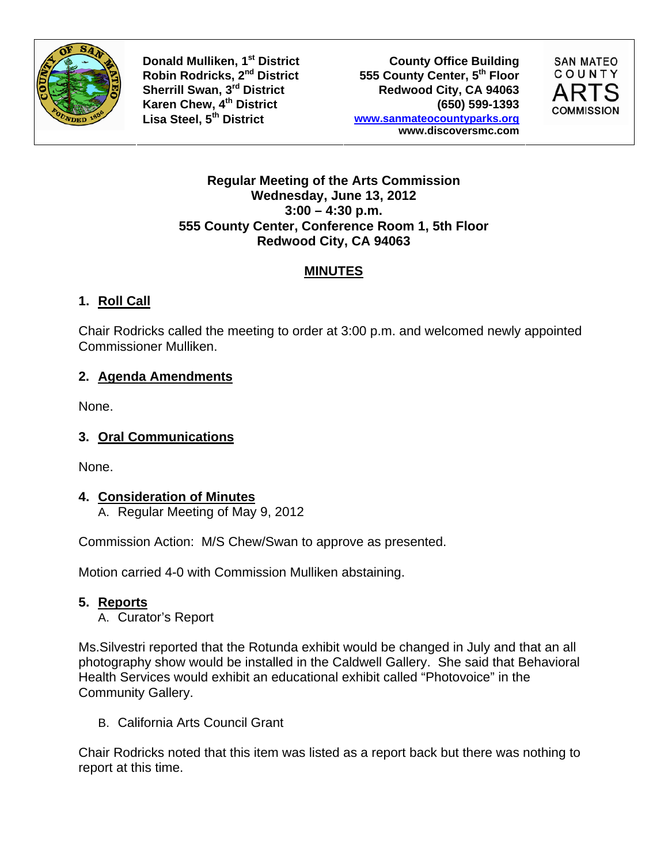

**Donald Mulliken, 1<sup>st</sup> District County Office Building Robin Rodricks, 2<sup>nd</sup> District 6555 County Center, 5<sup>th</sup> Floor** Robin Rodricks, 2<sup>nd</sup> District **555 County Center, 5<sup>th</sup> Floor**<br>
Sherrill Swan, 3<sup>rd</sup> District **1998 Redwood City, CA** 94063 Redwood City, CA 94063 **Karen Chew, 4th District (650) 599-1393 Lisa Steel, 5th District www.sanmateocountyparks.org www.discoversmc.com** 



#### **Regular Meeting of the Arts Commission Wednesday, June 13, 2012 3:00 – 4:30 p.m. 555 County Center, Conference Room 1, 5th Floor Redwood City, CA 94063**

## **MINUTES**

# **1. Roll Call**

Chair Rodricks called the meeting to order at 3:00 p.m. and welcomed newly appointed Commissioner Mulliken.

## **2. Agenda Amendments**

None.

## **3. Oral Communications**

None.

## **4. Consideration of Minutes**

A. Regular Meeting of May 9, 2012

Commission Action: M/S Chew/Swan to approve as presented.

Motion carried 4-0 with Commission Mulliken abstaining.

## **5. Reports**

A. Curator's Report

Ms.Silvestri reported that the Rotunda exhibit would be changed in July and that an all photography show would be installed in the Caldwell Gallery. She said that Behavioral Health Services would exhibit an educational exhibit called "Photovoice" in the Community Gallery.

B. California Arts Council Grant

Chair Rodricks noted that this item was listed as a report back but there was nothing to report at this time.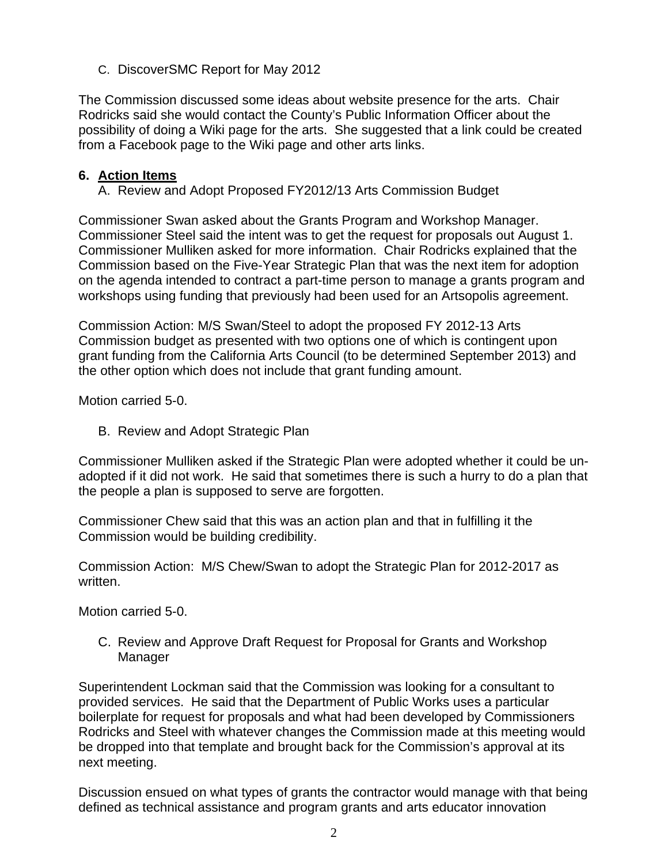C. DiscoverSMC Report for May 2012

The Commission discussed some ideas about website presence for the arts. Chair Rodricks said she would contact the County's Public Information Officer about the possibility of doing a Wiki page for the arts. She suggested that a link could be created from a Facebook page to the Wiki page and other arts links.

#### **6. Action Items**

A. Review and Adopt Proposed FY2012/13 Arts Commission Budget

Commissioner Swan asked about the Grants Program and Workshop Manager. Commissioner Steel said the intent was to get the request for proposals out August 1. Commissioner Mulliken asked for more information. Chair Rodricks explained that the Commission based on the Five-Year Strategic Plan that was the next item for adoption on the agenda intended to contract a part-time person to manage a grants program and workshops using funding that previously had been used for an Artsopolis agreement.

Commission Action: M/S Swan/Steel to adopt the proposed FY 2012-13 Arts Commission budget as presented with two options one of which is contingent upon grant funding from the California Arts Council (to be determined September 2013) and the other option which does not include that grant funding amount.

Motion carried 5-0.

B. Review and Adopt Strategic Plan

Commissioner Mulliken asked if the Strategic Plan were adopted whether it could be unadopted if it did not work. He said that sometimes there is such a hurry to do a plan that the people a plan is supposed to serve are forgotten.

Commissioner Chew said that this was an action plan and that in fulfilling it the Commission would be building credibility.

Commission Action: M/S Chew/Swan to adopt the Strategic Plan for 2012-2017 as written.

Motion carried 5-0.

C. Review and Approve Draft Request for Proposal for Grants and Workshop Manager

Superintendent Lockman said that the Commission was looking for a consultant to provided services. He said that the Department of Public Works uses a particular boilerplate for request for proposals and what had been developed by Commissioners Rodricks and Steel with whatever changes the Commission made at this meeting would be dropped into that template and brought back for the Commission's approval at its next meeting.

Discussion ensued on what types of grants the contractor would manage with that being defined as technical assistance and program grants and arts educator innovation